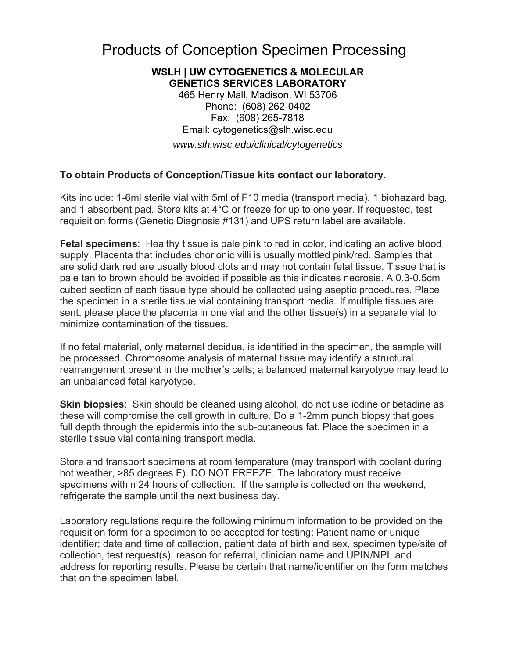# Products of Conception Specimen Processing

## **WSLH | UW CYTOGENETICS & MOLECULAR GENETICS SERVICES LABORATORY**

465 Henry Mall, Madison, WI 53706 Phone: (608) 262-0402 Fax: (608) 265-7818 Email: cytogenetics@slh.wisc.edu *www.slh.wisc.edu/clinical/cytogenetics* 

## **To obtain Products of Conception/Tissue kits contact our laboratory.**

Kits include: 1-6ml sterile vial with 5ml of F10 media (transport media), 1 biohazard bag, and 1 absorbent pad. Store kits at 4°C or freeze for up to one year. If requested, test requisition forms (Genetic Diagnosis #131) and UPS return label are available.

**Fetal specimens**: Healthy tissue is pale pink to red in color, indicating an active blood supply. Placenta that includes chorionic villi is usually mottled pink/red. Samples that are solid dark red are usually blood clots and may not contain fetal tissue. Tissue that is pale tan to brown should be avoided if possible as this indicates necrosis. A 0.3-0.5cm cubed section of each tissue type should be collected using aseptic procedures. Place the specimen in a sterile tissue vial containing transport media. If multiple tissues are sent, please place the placenta in one vial and the other tissue(s) in a separate vial to minimize contamination of the tissues.

If no fetal material, only maternal decidua, is identified in the specimen, the sample will be processed. Chromosome analysis of maternal tissue may identify a structural rearrangement present in the mother's cells; a balanced maternal karyotype may lead to an unbalanced fetal karyotype.

**Skin biopsies**: Skin should be cleaned using alcohol, do not use iodine or betadine as these will compromise the cell growth in culture. Do a 1-2mm punch biopsy that goes full depth through the epidermis into the sub-cutaneous fat. Place the specimen in a sterile tissue vial containing transport media.

Store and transport specimens at room temperature (may transport with coolant during hot weather, >85 degrees F). DO NOT FREEZE. The laboratory must receive specimens within 24 hours of collection. If the sample is collected on the weekend, refrigerate the sample until the next business day.

Laboratory regulations require the following minimum information to be provided on the requisition form for a specimen to be accepted for testing: Patient name or unique identifier; date and time of collection, patient date of birth and sex, specimen type/site of collection, test request(s), reason for referral, clinician name and UPIN/NPI, and address for reporting results. Please be certain that name/identifier on the form matches that on the specimen label.